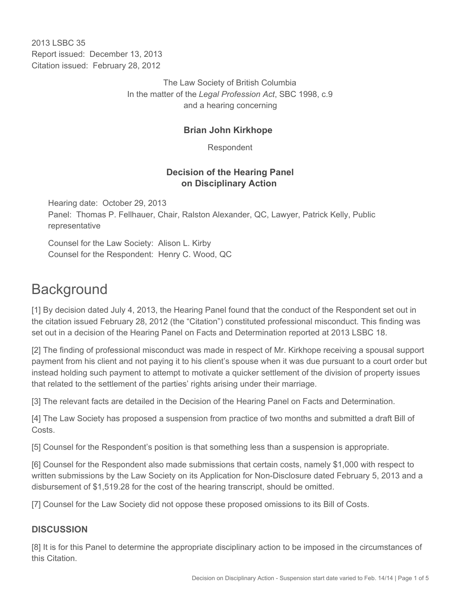2013 LSBC 35 Report issued: December 13, 2013 Citation issued: February 28, 2012

> The Law Society of British Columbia In the matter of the *Legal Profession Act*, SBC 1998, c.9 and a hearing concerning

# **Brian John Kirkhope**

Respondent

### **Decision of the Hearing Panel on Disciplinary Action**

Hearing date: October 29, 2013 Panel: Thomas P. Fellhauer, Chair, Ralston Alexander, QC, Lawyer, Patrick Kelly, Public representative

Counsel for the Law Society: Alison L. Kirby Counsel for the Respondent: Henry C. Wood, QC

# **Background**

[1] By decision dated July 4, 2013, the Hearing Panel found that the conduct of the Respondent set out in the citation issued February 28, 2012 (the "Citation") constituted professional misconduct. This finding was set out in a decision of the Hearing Panel on Facts and Determination reported at 2013 LSBC 18.

[2] The finding of professional misconduct was made in respect of Mr. Kirkhope receiving a spousal support payment from his client and not paying it to his client's spouse when it was due pursuant to a court order but instead holding such payment to attempt to motivate a quicker settlement of the division of property issues that related to the settlement of the parties' rights arising under their marriage.

[3] The relevant facts are detailed in the Decision of the Hearing Panel on Facts and Determination.

[4] The Law Society has proposed a suspension from practice of two months and submitted a draft Bill of Costs.

[5] Counsel for the Respondent's position is that something less than a suspension is appropriate.

[6] Counsel for the Respondent also made submissions that certain costs, namely \$1,000 with respect to written submissions by the Law Society on its Application for Non-Disclosure dated February 5, 2013 and a disbursement of \$1,519.28 for the cost of the hearing transcript, should be omitted.

[7] Counsel for the Law Society did not oppose these proposed omissions to its Bill of Costs.

### **DISCUSSION**

[8] It is for this Panel to determine the appropriate disciplinary action to be imposed in the circumstances of this Citation.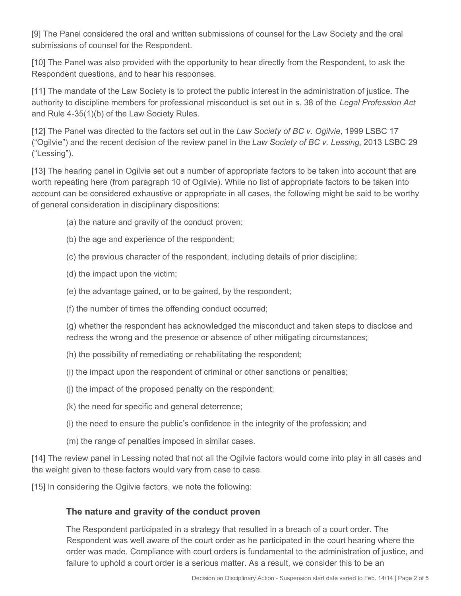[9] The Panel considered the oral and written submissions of counsel for the Law Society and the oral submissions of counsel for the Respondent.

[10] The Panel was also provided with the opportunity to hear directly from the Respondent, to ask the Respondent questions, and to hear his responses.

[11] The mandate of the Law Society is to protect the public interest in the administration of justice. The authority to discipline members for professional misconduct is set out in s. 38 of the *Legal Profession Act* and Rule 4-35(1)(b) of the Law Society Rules.

[12] The Panel was directed to the factors set out in the *Law Society of BC v. Ogilvie*, 1999 LSBC 17 ("Ogilvie") and the recent decision of the review panel in the *Law Society of BC v. Lessing*, 2013 LSBC 29 ("Lessing").

[13] The hearing panel in Ogilvie set out a number of appropriate factors to be taken into account that are worth repeating here (from paragraph 10 of Ogilvie). While no list of appropriate factors to be taken into account can be considered exhaustive or appropriate in all cases, the following might be said to be worthy of general consideration in disciplinary dispositions:

- (a) the nature and gravity of the conduct proven;
- (b) the age and experience of the respondent;
- (c) the previous character of the respondent, including details of prior discipline;
- (d) the impact upon the victim;
- (e) the advantage gained, or to be gained, by the respondent;
- (f) the number of times the offending conduct occurred;

(g) whether the respondent has acknowledged the misconduct and taken steps to disclose and redress the wrong and the presence or absence of other mitigating circumstances;

- (h) the possibility of remediating or rehabilitating the respondent;
- (i) the impact upon the respondent of criminal or other sanctions or penalties;
- (j) the impact of the proposed penalty on the respondent;
- (k) the need for specific and general deterrence;
- (l) the need to ensure the public's confidence in the integrity of the profession; and
- (m) the range of penalties imposed in similar cases.

[14] The review panel in Lessing noted that not all the Ogilvie factors would come into play in all cases and the weight given to these factors would vary from case to case.

[15] In considering the Ogilvie factors, we note the following:

#### **The nature and gravity of the conduct proven**

The Respondent participated in a strategy that resulted in a breach of a court order. The Respondent was well aware of the court order as he participated in the court hearing where the order was made. Compliance with court orders is fundamental to the administration of justice, and failure to uphold a court order is a serious matter. As a result, we consider this to be an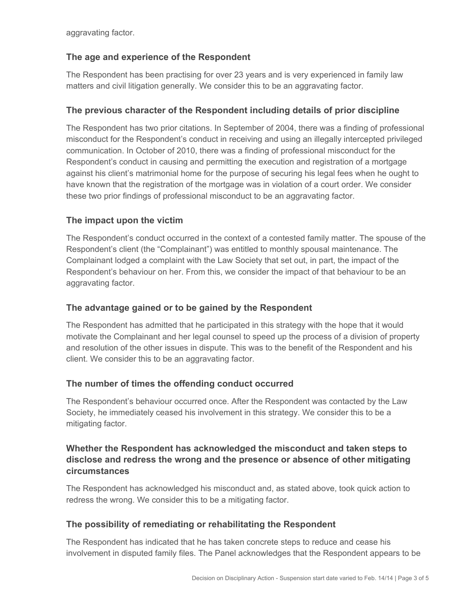aggravating factor.

## **The age and experience of the Respondent**

The Respondent has been practising for over 23 years and is very experienced in family law matters and civil litigation generally. We consider this to be an aggravating factor.

## **The previous character of the Respondent including details of prior discipline**

The Respondent has two prior citations. In September of 2004, there was a finding of professional misconduct for the Respondent's conduct in receiving and using an illegally intercepted privileged communication. In October of 2010, there was a finding of professional misconduct for the Respondent's conduct in causing and permitting the execution and registration of a mortgage against his client's matrimonial home for the purpose of securing his legal fees when he ought to have known that the registration of the mortgage was in violation of a court order. We consider these two prior findings of professional misconduct to be an aggravating factor.

# **The impact upon the victim**

The Respondent's conduct occurred in the context of a contested family matter. The spouse of the Respondent's client (the "Complainant") was entitled to monthly spousal maintenance. The Complainant lodged a complaint with the Law Society that set out, in part, the impact of the Respondent's behaviour on her. From this, we consider the impact of that behaviour to be an aggravating factor.

### **The advantage gained or to be gained by the Respondent**

The Respondent has admitted that he participated in this strategy with the hope that it would motivate the Complainant and her legal counsel to speed up the process of a division of property and resolution of the other issues in dispute. This was to the benefit of the Respondent and his client. We consider this to be an aggravating factor.

### **The number of times the offending conduct occurred**

The Respondent's behaviour occurred once. After the Respondent was contacted by the Law Society, he immediately ceased his involvement in this strategy. We consider this to be a mitigating factor.

### **Whether the Respondent has acknowledged the misconduct and taken steps to disclose and redress the wrong and the presence or absence of other mitigating circumstances**

The Respondent has acknowledged his misconduct and, as stated above, took quick action to redress the wrong. We consider this to be a mitigating factor.

### **The possibility of remediating or rehabilitating the Respondent**

The Respondent has indicated that he has taken concrete steps to reduce and cease his involvement in disputed family files. The Panel acknowledges that the Respondent appears to be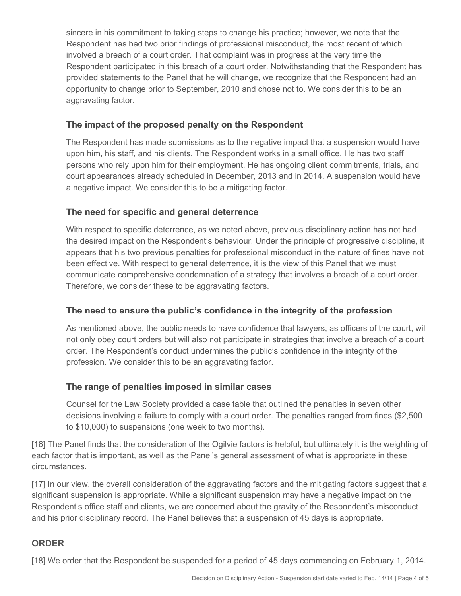sincere in his commitment to taking steps to change his practice; however, we note that the Respondent has had two prior findings of professional misconduct, the most recent of which involved a breach of a court order. That complaint was in progress at the very time the Respondent participated in this breach of a court order. Notwithstanding that the Respondent has provided statements to the Panel that he will change, we recognize that the Respondent had an opportunity to change prior to September, 2010 and chose not to. We consider this to be an aggravating factor.

### **The impact of the proposed penalty on the Respondent**

The Respondent has made submissions as to the negative impact that a suspension would have upon him, his staff, and his clients. The Respondent works in a small office. He has two staff persons who rely upon him for their employment. He has ongoing client commitments, trials, and court appearances already scheduled in December, 2013 and in 2014. A suspension would have a negative impact. We consider this to be a mitigating factor.

#### **The need for specific and general deterrence**

With respect to specific deterrence, as we noted above, previous disciplinary action has not had the desired impact on the Respondent's behaviour. Under the principle of progressive discipline, it appears that his two previous penalties for professional misconduct in the nature of fines have not been effective. With respect to general deterrence, it is the view of this Panel that we must communicate comprehensive condemnation of a strategy that involves a breach of a court order. Therefore, we consider these to be aggravating factors.

#### **The need to ensure the public's confidence in the integrity of the profession**

As mentioned above, the public needs to have confidence that lawyers, as officers of the court, will not only obey court orders but will also not participate in strategies that involve a breach of a court order. The Respondent's conduct undermines the public's confidence in the integrity of the profession. We consider this to be an aggravating factor.

#### **The range of penalties imposed in similar cases**

Counsel for the Law Society provided a case table that outlined the penalties in seven other decisions involving a failure to comply with a court order. The penalties ranged from fines (\$2,500 to \$10,000) to suspensions (one week to two months).

[16] The Panel finds that the consideration of the Ogilvie factors is helpful, but ultimately it is the weighting of each factor that is important, as well as the Panel's general assessment of what is appropriate in these circumstances.

[17] In our view, the overall consideration of the aggravating factors and the mitigating factors suggest that a significant suspension is appropriate. While a significant suspension may have a negative impact on the Respondent's office staff and clients, we are concerned about the gravity of the Respondent's misconduct and his prior disciplinary record. The Panel believes that a suspension of 45 days is appropriate.

### **ORDER**

[18] We order that the Respondent be suspended for a period of 45 days commencing on February 1, 2014.